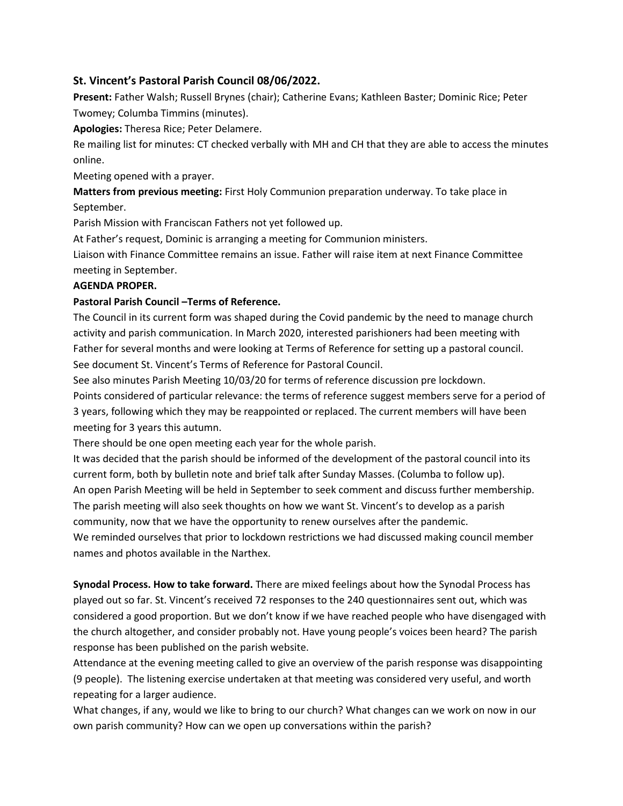## **St. Vincent's Pastoral Parish Council 08/06/2022.**

**Present:** Father Walsh; Russell Brynes (chair); Catherine Evans; Kathleen Baster; Dominic Rice; Peter Twomey; Columba Timmins (minutes).

**Apologies:** Theresa Rice; Peter Delamere.

Re mailing list for minutes: CT checked verbally with MH and CH that they are able to access the minutes online.

Meeting opened with a prayer.

**Matters from previous meeting:** First Holy Communion preparation underway. To take place in September.

Parish Mission with Franciscan Fathers not yet followed up.

At Father's request, Dominic is arranging a meeting for Communion ministers.

Liaison with Finance Committee remains an issue. Father will raise item at next Finance Committee meeting in September.

## **AGENDA PROPER.**

## **Pastoral Parish Council –Terms of Reference.**

The Council in its current form was shaped during the Covid pandemic by the need to manage church activity and parish communication. In March 2020, interested parishioners had been meeting with Father for several months and were looking at Terms of Reference for setting up a pastoral council. See document St. Vincent's Terms of Reference for Pastoral Council.

See also minutes Parish Meeting 10/03/20 for terms of reference discussion pre lockdown.

Points considered of particular relevance: the terms of reference suggest members serve for a period of 3 years, following which they may be reappointed or replaced. The current members will have been meeting for 3 years this autumn.

There should be one open meeting each year for the whole parish.

It was decided that the parish should be informed of the development of the pastoral council into its current form, both by bulletin note and brief talk after Sunday Masses. (Columba to follow up). An open Parish Meeting will be held in September to seek comment and discuss further membership. The parish meeting will also seek thoughts on how we want St. Vincent's to develop as a parish community, now that we have the opportunity to renew ourselves after the pandemic.

We reminded ourselves that prior to lockdown restrictions we had discussed making council member names and photos available in the Narthex.

**Synodal Process. How to take forward.** There are mixed feelings about how the Synodal Process has played out so far. St. Vincent's received 72 responses to the 240 questionnaires sent out, which was considered a good proportion. But we don't know if we have reached people who have disengaged with the church altogether, and consider probably not. Have young people's voices been heard? The parish response has been published on the parish website.

Attendance at the evening meeting called to give an overview of the parish response was disappointing (9 people). The listening exercise undertaken at that meeting was considered very useful, and worth repeating for a larger audience.

What changes, if any, would we like to bring to our church? What changes can we work on now in our own parish community? How can we open up conversations within the parish?